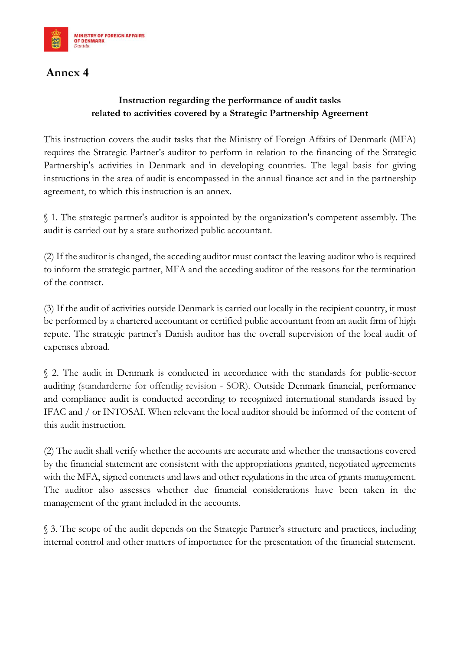

## **Annex 4**

## **Instruction regarding the performance of audit tasks related to activities covered by a Strategic Partnership Agreement**

This instruction covers the audit tasks that the Ministry of Foreign Affairs of Denmark (MFA) requires the Strategic Partner's auditor to perform in relation to the financing of the Strategic Partnership's activities in Denmark and in developing countries. The legal basis for giving instructions in the area of audit is encompassed in the annual finance act and in the partnership agreement, to which this instruction is an annex.

§ 1. The strategic partner's auditor is appointed by the organization's competent assembly. The audit is carried out by a state authorized public accountant.

(2) If the auditor is changed, the acceding auditor must contact the leaving auditor who is required to inform the strategic partner, MFA and the acceding auditor of the reasons for the termination of the contract.

(3) If the audit of activities outside Denmark is carried out locally in the recipient country, it must be performed by a chartered accountant or certified public accountant from an audit firm of high repute. The strategic partner's Danish auditor has the overall supervision of the local audit of expenses abroad.

§ 2. The audit in Denmark is conducted in accordance with the standards for public-sector auditing (standarderne for offentlig revision - SOR). Outside Denmark financial, performance and compliance audit is conducted according to recognized international standards issued by IFAC and / or INTOSAI. When relevant the local auditor should be informed of the content of this audit instruction.

(2) The audit shall verify whether the accounts are accurate and whether the transactions covered by the financial statement are consistent with the appropriations granted, negotiated agreements with the MFA, signed contracts and laws and other regulations in the area of grants management. The auditor also assesses whether due financial considerations have been taken in the management of the grant included in the accounts.

§ 3. The scope of the audit depends on the Strategic Partner's structure and practices, including internal control and other matters of importance for the presentation of the financial statement.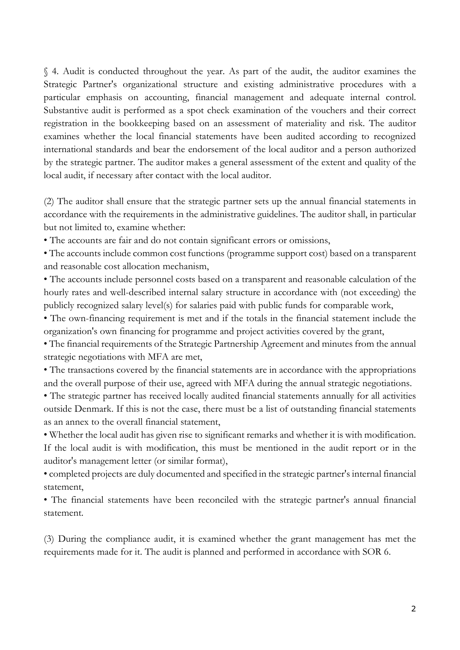§ 4. Audit is conducted throughout the year. As part of the audit, the auditor examines the Strategic Partner's organizational structure and existing administrative procedures with a particular emphasis on accounting, financial management and adequate internal control. Substantive audit is performed as a spot check examination of the vouchers and their correct registration in the bookkeeping based on an assessment of materiality and risk. The auditor examines whether the local financial statements have been audited according to recognized international standards and bear the endorsement of the local auditor and a person authorized by the strategic partner. The auditor makes a general assessment of the extent and quality of the local audit, if necessary after contact with the local auditor.

(2) The auditor shall ensure that the strategic partner sets up the annual financial statements in accordance with the requirements in the administrative guidelines. The auditor shall, in particular but not limited to, examine whether:

• The accounts are fair and do not contain significant errors or omissions,

• The accounts include common cost functions (programme support cost) based on a transparent and reasonable cost allocation mechanism,

• The accounts include personnel costs based on a transparent and reasonable calculation of the hourly rates and well-described internal salary structure in accordance with (not exceeding) the publicly recognized salary level(s) for salaries paid with public funds for comparable work,

• The own-financing requirement is met and if the totals in the financial statement include the organization's own financing for programme and project activities covered by the grant,

• The financial requirements of the Strategic Partnership Agreement and minutes from the annual strategic negotiations with MFA are met,

• The transactions covered by the financial statements are in accordance with the appropriations and the overall purpose of their use, agreed with MFA during the annual strategic negotiations.

• The strategic partner has received locally audited financial statements annually for all activities outside Denmark. If this is not the case, there must be a list of outstanding financial statements as an annex to the overall financial statement,

• Whether the local audit has given rise to significant remarks and whether it is with modification. If the local audit is with modification, this must be mentioned in the audit report or in the auditor's management letter (or similar format),

• completed projects are duly documented and specified in the strategic partner's internal financial statement,

• The financial statements have been reconciled with the strategic partner's annual financial statement.

(3) During the compliance audit, it is examined whether the grant management has met the requirements made for it. The audit is planned and performed in accordance with SOR 6.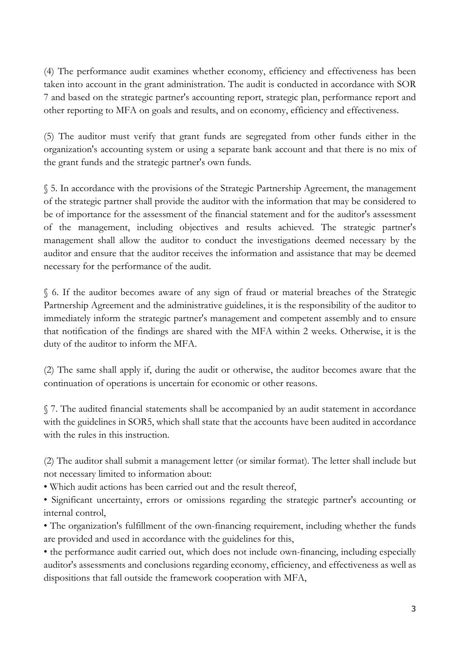(4) The performance audit examines whether economy, efficiency and effectiveness has been taken into account in the grant administration. The audit is conducted in accordance with SOR 7 and based on the strategic partner's accounting report, strategic plan, performance report and other reporting to MFA on goals and results, and on economy, efficiency and effectiveness.

(5) The auditor must verify that grant funds are segregated from other funds either in the organization's accounting system or using a separate bank account and that there is no mix of the grant funds and the strategic partner's own funds.

§ 5. In accordance with the provisions of the Strategic Partnership Agreement, the management of the strategic partner shall provide the auditor with the information that may be considered to be of importance for the assessment of the financial statement and for the auditor's assessment of the management, including objectives and results achieved. The strategic partner's management shall allow the auditor to conduct the investigations deemed necessary by the auditor and ensure that the auditor receives the information and assistance that may be deemed necessary for the performance of the audit.

§ 6. If the auditor becomes aware of any sign of fraud or material breaches of the Strategic Partnership Agreement and the administrative guidelines, it is the responsibility of the auditor to immediately inform the strategic partner's management and competent assembly and to ensure that notification of the findings are shared with the MFA within 2 weeks. Otherwise, it is the duty of the auditor to inform the MFA.

(2) The same shall apply if, during the audit or otherwise, the auditor becomes aware that the continuation of operations is uncertain for economic or other reasons.

§ 7. The audited financial statements shall be accompanied by an audit statement in accordance with the guidelines in SOR5, which shall state that the accounts have been audited in accordance with the rules in this instruction.

(2) The auditor shall submit a management letter (or similar format). The letter shall include but not necessary limited to information about:

• Which audit actions has been carried out and the result thereof,

• Significant uncertainty, errors or omissions regarding the strategic partner's accounting or internal control,

• The organization's fulfillment of the own-financing requirement, including whether the funds are provided and used in accordance with the guidelines for this,

• the performance audit carried out, which does not include own-financing, including especially auditor's assessments and conclusions regarding economy, efficiency, and effectiveness as well as dispositions that fall outside the framework cooperation with MFA,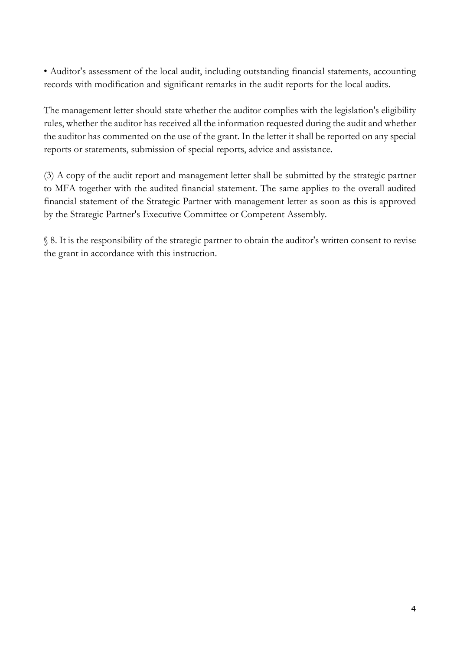• Auditor's assessment of the local audit, including outstanding financial statements, accounting records with modification and significant remarks in the audit reports for the local audits.

The management letter should state whether the auditor complies with the legislation's eligibility rules, whether the auditor has received all the information requested during the audit and whether the auditor has commented on the use of the grant. In the letter it shall be reported on any special reports or statements, submission of special reports, advice and assistance.

(3) A copy of the audit report and management letter shall be submitted by the strategic partner to MFA together with the audited financial statement. The same applies to the overall audited financial statement of the Strategic Partner with management letter as soon as this is approved by the Strategic Partner's Executive Committee or Competent Assembly.

§ 8. It is the responsibility of the strategic partner to obtain the auditor's written consent to revise the grant in accordance with this instruction.